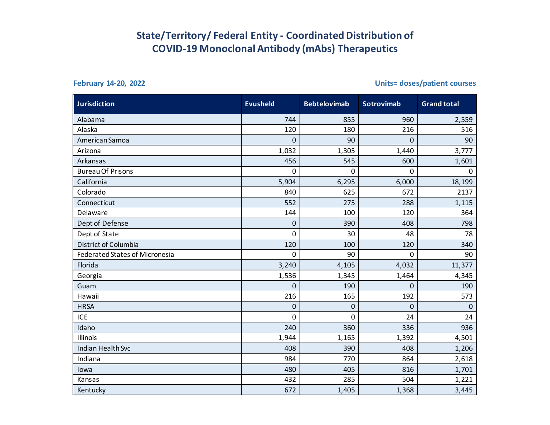## **State/Territory/ Federal Entity - Coordinated Distribution of COVID-19 Monoclonal Antibody (mAbs) Therapeutics**

**February 14-20, 2022 Units= doses/patient courses** 

| <b>Jurisdiction</b>                   | <b>Evusheld</b> | <b>Bebtelovimab</b> | <b>Sotrovimab</b> | <b>Grand total</b> |
|---------------------------------------|-----------------|---------------------|-------------------|--------------------|
| Alabama                               | 744             | 855                 | 960               | 2,559              |
| Alaska                                | 120             | 180                 | 216               | 516                |
| American Samoa                        | 0               | 90                  | 0                 | 90                 |
| Arizona                               | 1,032           | 1,305               | 1,440             | 3,777              |
| Arkansas                              | 456             | 545                 | 600               | 1,601              |
| <b>Bureau Of Prisons</b>              | 0               | 0                   | $\mathbf 0$       | $\mathbf 0$        |
| California                            | 5,904           | 6,295               | 6,000             | 18,199             |
| Colorado                              | 840             | 625                 | 672               | 2137               |
| Connecticut                           | 552             | 275                 | 288               | 1,115              |
| Delaware                              | 144             | 100                 | 120               | 364                |
| Dept of Defense                       | 0               | 390                 | 408               | 798                |
| Dept of State                         | 0               | 30                  | 48                | 78                 |
| District of Columbia                  | 120             | 100                 | 120               | 340                |
| <b>Federated States of Micronesia</b> | 0               | 90                  | 0                 | 90                 |
| Florida                               | 3,240           | 4,105               | 4,032             | 11,377             |
| Georgia                               | 1,536           | 1,345               | 1,464             | 4,345              |
| Guam                                  | $\Omega$        | 190                 | 0                 | 190                |
| Hawaii                                | 216             | 165                 | 192               | 573                |
| <b>HRSA</b>                           | $\mathbf 0$     | $\mathbf 0$         | 0                 | $\mathbf 0$        |
| <b>ICE</b>                            | 0               | 0                   | 24                | 24                 |
| Idaho                                 | 240             | 360                 | 336               | 936                |
| <b>Illinois</b>                       | 1,944           | 1,165               | 1,392             | 4,501              |
| <b>Indian Health Svc</b>              | 408             | 390                 | 408               | 1,206              |
| Indiana                               | 984             | 770                 | 864               | 2,618              |
| lowa                                  | 480             | 405                 | 816               | 1,701              |
| Kansas                                | 432             | 285                 | 504               | 1,221              |
| Kentucky                              | 672             | 1,405               | 1,368             | 3,445              |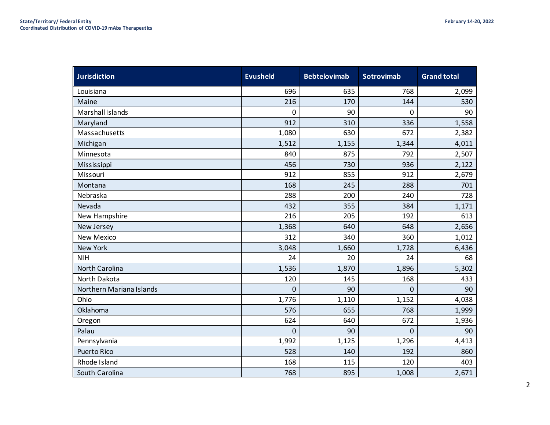| <b>Jurisdiction</b>      | <b>Evusheld</b> | <b>Bebtelovimab</b> | <b>Sotrovimab</b> | <b>Grand total</b> |
|--------------------------|-----------------|---------------------|-------------------|--------------------|
| Louisiana                | 696             | 635                 | 768               | 2,099              |
| Maine                    | 216             | 170                 | 144               | 530                |
| Marshall Islands         | 0               | 90                  | 0                 | 90                 |
| Maryland                 | 912             | 310                 | 336               | 1,558              |
| Massachusetts            | 1,080           | 630                 | 672               | 2,382              |
| Michigan                 | 1,512           | 1,155               | 1,344             | 4,011              |
| Minnesota                | 840             | 875                 | 792               | 2,507              |
| Mississippi              | 456             | 730                 | 936               | 2,122              |
| Missouri                 | 912             | 855                 | 912               | 2,679              |
| Montana                  | 168             | 245                 | 288               | 701                |
| Nebraska                 | 288             | 200                 | 240               | 728                |
| Nevada                   | 432             | 355                 | 384               | 1,171              |
| New Hampshire            | 216             | 205                 | 192               | 613                |
| New Jersey               | 1,368           | 640                 | 648               | 2,656              |
| <b>New Mexico</b>        | 312             | 340                 | 360               | 1,012              |
| New York                 | 3,048           | 1,660               | 1,728             | 6,436              |
| <b>NIH</b>               | 24              | 20                  | 24                | 68                 |
| North Carolina           | 1,536           | 1,870               | 1,896             | 5,302              |
| North Dakota             | 120             | 145                 | 168               | 433                |
| Northern Mariana Islands | 0               | 90                  | 0                 | 90                 |
| Ohio                     | 1,776           | 1,110               | 1,152             | 4,038              |
| Oklahoma                 | 576             | 655                 | 768               | 1,999              |
| Oregon                   | 624             | 640                 | 672               | 1,936              |
| Palau                    | 0               | 90                  | 0                 | 90                 |
| Pennsylvania             | 1,992           | 1,125               | 1,296             | 4,413              |
| <b>Puerto Rico</b>       | 528             | 140                 | 192               | 860                |
| Rhode Island             | 168             | 115                 | 120               | 403                |
| South Carolina           | 768             | 895                 | 1,008             | 2,671              |